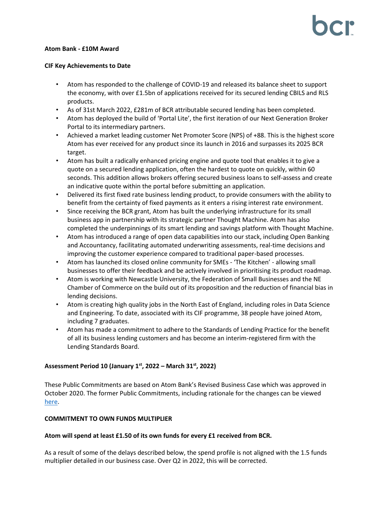## **Atom Bank - £10M Award**

## **CIF Key Achievements to Date**

- Atom has responded to the challenge of COVID-19 and released its balance sheet to support the economy, with over £1.5bn of applications received for its secured lending CBILS and RLS products.
- As of 31st March 2022, £281m of BCR attributable secured lending has been completed.
- Atom has deployed the build of 'Portal Lite', the first iteration of our Next Generation Broker Portal to its intermediary partners.
- Achieved a market leading customer Net Promoter Score (NPS) of +88. This is the highest score Atom has ever received for any product since its launch in 2016 and surpasses its 2025 BCR target.
- Atom has built a radically enhanced pricing engine and quote tool that enables it to give a quote on a secured lending application, often the hardest to quote on quickly, within 60 seconds. This addition allows brokers offering secured business loans to self-assess and create an indicative quote within the portal before submitting an application.
- Delivered its first fixed rate business lending product, to provide consumers with the ability to benefit from the certainty of fixed payments as it enters a rising interest rate environment.
- Since receiving the BCR grant, Atom has built the underlying infrastructure for its small business app in partnership with its strategic partner Thought Machine. Atom has also completed the underpinnings of its smart lending and savings platform with Thought Machine.
- Atom has introduced a range of open data capabilities into our stack, including Open Banking and Accountancy, facilitating automated underwriting assessments, real-time decisions and improving the customer experience compared to traditional paper-based processes.
- Atom has launched its closed online community for SMEs 'The Kitchen' allowing small businesses to offer their feedback and be actively involved in prioritising its product roadmap.
- Atom is working with Newcastle University, the Federation of Small Businesses and the NE Chamber of Commerce on the build out of its proposition and the reduction of financial bias in lending decisions.
- Atom is creating high quality jobs in the North East of England, including roles in Data Science and Engineering. To date, associated with its CIF programme, 38 people have joined Atom, including 7 graduates.
- Atom has made a commitment to adhere to the Standards of Lending Practice for the benefit of all its business lending customers and has become an interim-registered firm with the Lending Standards Board.

# **Assessment Period 10 (January 1 st, 2022 – March 31 st, 2022)**

These Public Commitments are based on Atom Bank's Revised Business Case which was approved in October 2020. The former Public Commitments, including rationale for the changes can be viewed [here.](https://bcr-ltd.com/wp-content/uploads/2020/11/Atom-Bank_Public-Commitments-Q320-v1.0.pdf)

# **COMMITMENT TO OWN FUNDS MULTIPLIER**

# **Atom will spend at least £1.50 of its own funds for every £1 received from BCR.**

As a result of some of the delays described below, the spend profile is not aligned with the 1.5 funds multiplier detailed in our business case. Over Q2 in 2022, this will be corrected.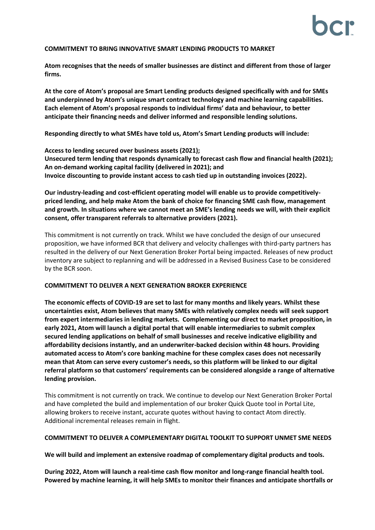## **COMMITMENT TO BRING INNOVATIVE SMART LENDING PRODUCTS TO MARKET**

**Atom recognises that the needs of smaller businesses are distinct and different from those of larger firms.**

**At the core of Atom's proposal are Smart Lending products designed specifically with and for SMEs and underpinned by Atom's unique smart contract technology and machine learning capabilities. Each element of Atom's proposal responds to individual firms' data and behaviour, to better anticipate their financing needs and deliver informed and responsible lending solutions.** 

**Responding directly to what SMEs have told us, Atom's Smart Lending products will include:**

**Access to lending secured over business assets (2021); Unsecured term lending that responds dynamically to forecast cash flow and financial health (2021); An on-demand working capital facility (delivered in 2021); and Invoice discounting to provide instant access to cash tied up in outstanding invoices (2022).**

**Our industry-leading and cost-efficient operating model will enable us to provide competitivelypriced lending, and help make Atom the bank of choice for financing SME cash flow, management and growth. In situations where we cannot meet an SME's lending needs we will, with their explicit consent, offer transparent referrals to alternative providers (2021).** 

This commitment is not currently on track. Whilst we have concluded the design of our unsecured proposition, we have informed BCR that delivery and velocity challenges with third-party partners has resulted in the delivery of our Next Generation Broker Portal being impacted. Releases of new product inventory are subject to replanning and will be addressed in a Revised Business Case to be considered by the BCR soon.

## **COMMITMENT TO DELIVER A NEXT GENERATION BROKER EXPERIENCE**

**The economic effects of COVID-19 are set to last for many months and likely years. Whilst these uncertainties exist, Atom believes that many SMEs with relatively complex needs will seek support from expert intermediaries in lending markets. Complementing our direct to market proposition, in early 2021, Atom will launch a digital portal that will enable intermediaries to submit complex secured lending applications on behalf of small businesses and receive indicative eligibility and affordability decisions instantly, and an underwriter-backed decision within 48 hours. Providing automated access to Atom's core banking machine for these complex cases does not necessarily mean that Atom can serve every customer's needs, so this platform will be linked to our digital referral platform so that customers' requirements can be considered alongside a range of alternative lending provision.**

This commitment is not currently on track. We continue to develop our Next Generation Broker Portal and have completed the build and implementation of our broker Quick Quote tool in Portal Lite, allowing brokers to receive instant, accurate quotes without having to contact Atom directly. Additional incremental releases remain in flight.

# **COMMITMENT TO DELIVER A COMPLEMENTARY DIGITAL TOOLKIT TO SUPPORT UNMET SME NEEDS**

## **We will build and implement an extensive roadmap of complementary digital products and tools.**

**During 2022, Atom will launch a real-time cash flow monitor and long-range financial health tool. Powered by machine learning, it will help SMEs to monitor their finances and anticipate shortfalls or**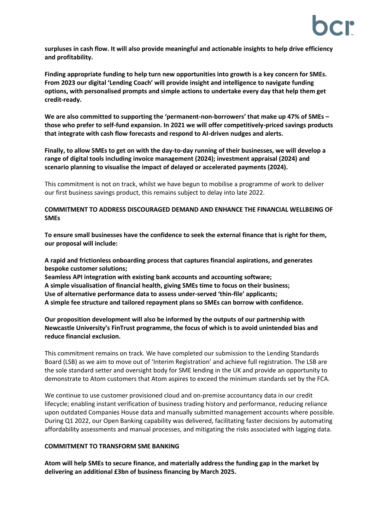**surpluses in cash flow. It will also provide meaningful and actionable insights to help drive efficiency and profitability.** 

**Finding appropriate funding to help turn new opportunities into growth is a key concern for SMEs. From 2023 our digital 'Lending Coach' will provide insight and intelligence to navigate funding options, with personalised prompts and simple actions to undertake every day that help them get credit-ready.** 

**We are also committed to supporting the 'permanent-non-borrowers' that make up 47% of SMEs – those who prefer to self-fund expansion. In 2021 we will offer competitively-priced savings products that integrate with cash flow forecasts and respond to AI-driven nudges and alerts.** 

**Finally, to allow SMEs to get on with the day-to-day running of their businesses, we will develop a range of digital tools including invoice management (2024); investment appraisal (2024) and scenario planning to visualise the impact of delayed or accelerated payments (2024).**

This commitment is not on track, whilst we have begun to mobilise a programme of work to deliver our first business savings product, this remains subject to delay into late 2022.

## **COMMITMENT TO ADDRESS DISCOURAGED DEMAND AND ENHANCE THE FINANCIAL WELLBEING OF SMEs**

**To ensure small businesses have the confidence to seek the external finance that is right for them, our proposal will include:** 

**A rapid and frictionless onboarding process that captures financial aspirations, and generates bespoke customer solutions;**

**Seamless API integration with existing bank accounts and accounting software; A simple visualisation of financial health, giving SMEs time to focus on their business; Use of alternative performance data to assess under-served 'thin-file' applicants; A simple fee structure and tailored repayment plans so SMEs can borrow with confidence.** 

**Our proposition development will also be informed by the outputs of our partnership with Newcastle University's FinTrust programme, the focus of which is to avoid unintended bias and reduce financial exclusion.** 

This commitment remains on track. We have completed our submission to the Lending Standards Board (LSB) as we aim to move out of 'Interim Registration' and achieve full registration. The LSB are the sole standard setter and oversight body for SME lending in the UK and provide an opportunity to demonstrate to Atom customers that Atom aspires to exceed the minimum standards set by the FCA.

We continue to use customer provisioned cloud and on-premise accountancy data in our credit lifecycle; enabling instant verification of business trading history and performance, reducing reliance upon outdated Companies House data and manually submitted management accounts where possible. During Q1 2022, our Open Banking capability was delivered, facilitating faster decisions by automating affordability assessments and manual processes, and mitigating the risks associated with lagging data.

# **COMMITMENT TO TRANSFORM SME BANKING**

**Atom will help SMEs to secure finance, and materially address the funding gap in the market by delivering an additional £3bn of business financing by March 2025.**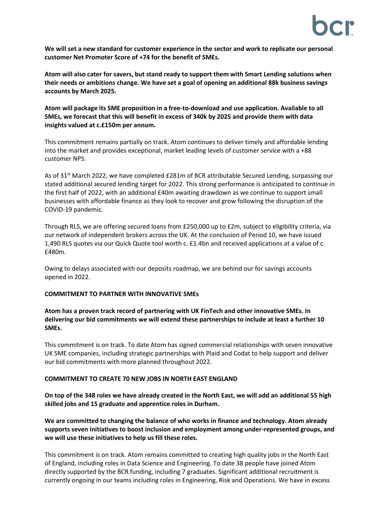**We will set a new standard for customer experience in the sector and work to replicate our personal customer Net Promoter Score of +74 for the benefit of SMEs.** 

**Atom will also cater for savers, but stand ready to support them with Smart Lending solutions when their needs or ambitions change. We have set a goal of opening an additional 88k business savings accounts by March 2025.**

**Atom will package its SME proposition in a free-to-download and use application. Available to all SMEs, we forecast that this will benefit in excess of 340k by 2025 and provide them with data insights valued at c.£150m per annum.**

This commitment remains partially on track. Atom continues to deliver timely and affordable lending into the market and provides exceptional, market leading levels of customer service with a +88 customer NPS.

As of 31<sup>st</sup> March 2022, we have completed £281m of BCR attributable Secured Lending, surpassing our stated additional secured lending target for 2022. This strong performance is anticipated to continue in the first half of 2022, with an additional £40m awaiting drawdown as we continue to support small businesses with affordable finance as they look to recover and grow following the disruption of the COVID-19 pandemic.

Through RLS, we are offering secured loans from £250,000 up to £2m, subject to eligibility criteria, via our network of independent brokers across the UK. At the conclusion of Period 10, we have issued 1,490 RLS quotes via our Quick Quote tool worth c. £1.4bn and received applications at a value of c. £480m.

Owing to delays associated with our deposits roadmap, we are behind our for savings accounts opened in 2022.

# **COMMITMENT TO PARTNER WITH INNOVATIVE SMEs**

**Atom has a proven track record of partnering with UK FinTech and other innovative SMEs. In delivering our bid commitments we will extend these partnerships to include at least a further 10 SMEs.** 

This commitment is on track. To date Atom has signed commercial relationships with seven innovative UK SME companies, including strategic partnerships with Plaid and Codat to help support and deliver our bid commitments with more planned throughout 2022.

## **COMMITMENT TO CREATE 70 NEW JOBS IN NORTH EAST ENGLAND**

**On top of the 348 roles we have already created in the North East, we will add an additional 55 high skilled jobs and 15 graduate and apprentice roles in Durham.** 

**We are committed to changing the balance of who works in finance and technology. Atom already supports seven initiatives to boost inclusion and employment among under-represented groups, and we will use these initiatives to help us fill these roles.**

This commitment is on track. Atom remains committed to creating high quality jobs in the North East of England, including roles in Data Science and Engineering. To date 38 people have joined Atom directly supported by the BCR funding, including 7 graduates. Significant additional recruitment is currently ongoing in our teams including roles in Engineering, Risk and Operations. We have in excess